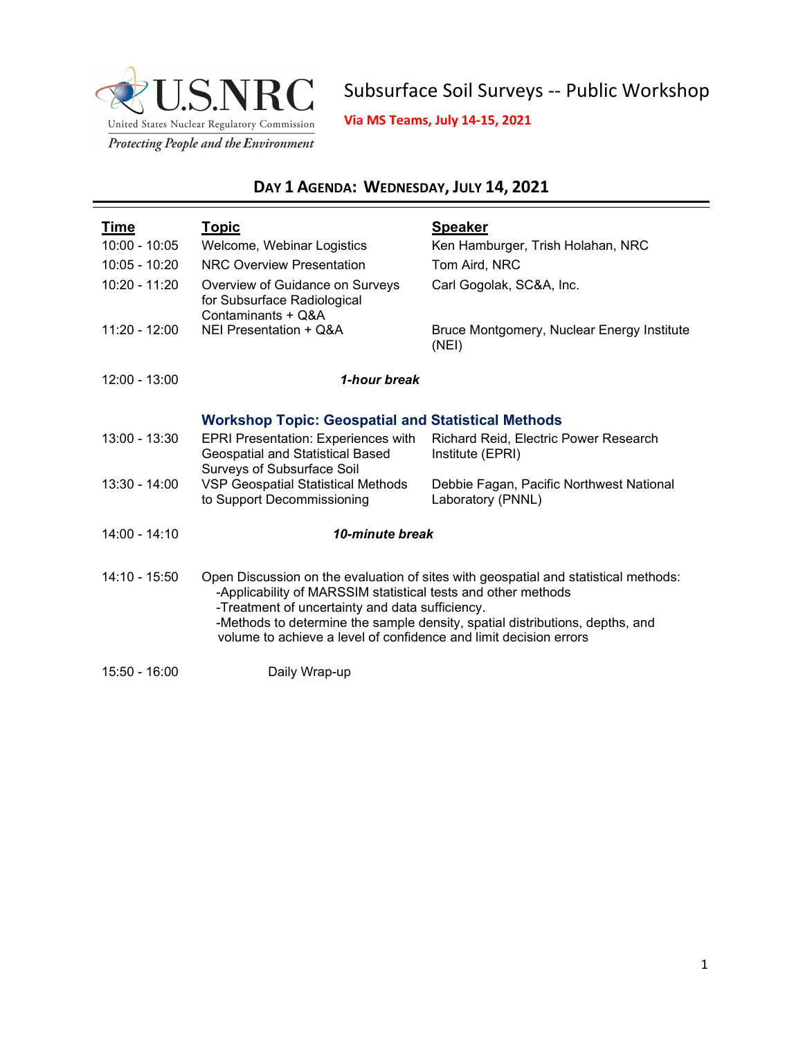

Subsurface Soil Surveys -- Public Workshop

**Via MS Teams, July 14-15, 2021**

## **DAY 1 AGENDA: WEDNESDAY, JULY 14, 2021**

| <u>Time</u>     | <u>Topic</u>                                                                                                                                                                          | <b>Speaker</b>                                                                                                                                                      |
|-----------------|---------------------------------------------------------------------------------------------------------------------------------------------------------------------------------------|---------------------------------------------------------------------------------------------------------------------------------------------------------------------|
| $10:00 - 10:05$ | Welcome, Webinar Logistics                                                                                                                                                            | Ken Hamburger, Trish Holahan, NRC                                                                                                                                   |
| $10:05 - 10:20$ | <b>NRC Overview Presentation</b>                                                                                                                                                      | Tom Aird, NRC                                                                                                                                                       |
| 10:20 - 11:20   | Overview of Guidance on Surveys<br>for Subsurface Radiological<br>Contaminants + Q&A                                                                                                  | Carl Gogolak, SC&A, Inc.                                                                                                                                            |
| $11:20 - 12:00$ | NEI Presentation + Q&A                                                                                                                                                                | Bruce Montgomery, Nuclear Energy Institute<br>(NEI)                                                                                                                 |
| $12:00 - 13:00$ | 1-hour break                                                                                                                                                                          |                                                                                                                                                                     |
|                 | <b>Workshop Topic: Geospatial and Statistical Methods</b>                                                                                                                             |                                                                                                                                                                     |
| 13:00 - 13:30   | <b>EPRI Presentation: Experiences with</b><br>Geospatial and Statistical Based<br><b>Surveys of Subsurface Soil</b>                                                                   | Richard Reid, Electric Power Research<br>Institute (EPRI)                                                                                                           |
| $13:30 - 14:00$ | <b>VSP Geospatial Statistical Methods</b><br>to Support Decommissioning                                                                                                               | Debbie Fagan, Pacific Northwest National<br>Laboratory (PNNL)                                                                                                       |
| $14:00 - 14:10$ | 10-minute break                                                                                                                                                                       |                                                                                                                                                                     |
| $14:10 - 15:50$ | -Applicability of MARSSIM statistical tests and other methods<br>-Treatment of uncertainty and data sufficiency.<br>volume to achieve a level of confidence and limit decision errors | Open Discussion on the evaluation of sites with geospatial and statistical methods:<br>-Methods to determine the sample density, spatial distributions, depths, and |
| 15:50 - 16:00   | Daily Wrap-up                                                                                                                                                                         |                                                                                                                                                                     |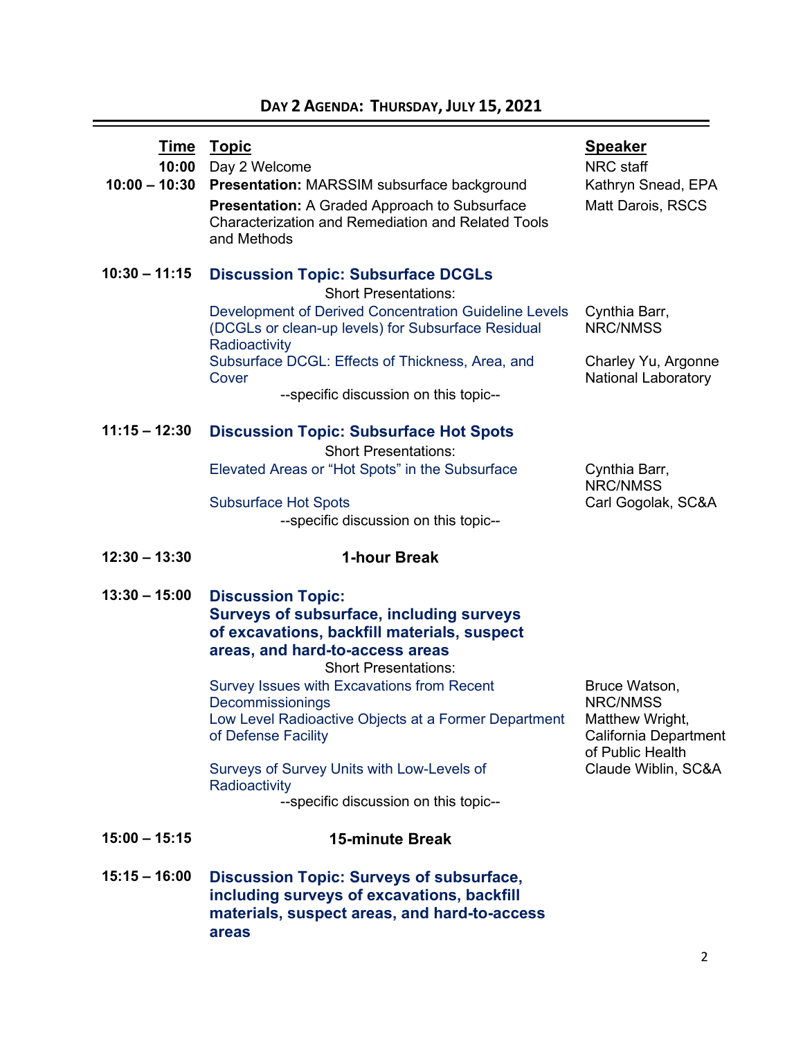## **DAY 2 AGENDA: THURSDAY, JULY 15, 2021**

| <u>Time</u><br>10:00<br>$10:00 - 10:30$ | <b>Topic</b><br>Day 2 Welcome<br>Presentation: MARSSIM subsurface background<br>Presentation: A Graded Approach to Subsurface<br><b>Characterization and Remediation and Related Tools</b><br>and Methods                                                                                                                                                              | <b>Speaker</b><br><b>NRC</b> staff<br>Kathryn Snead, EPA<br><b>Matt Darois, RSCS</b>                                    |
|-----------------------------------------|------------------------------------------------------------------------------------------------------------------------------------------------------------------------------------------------------------------------------------------------------------------------------------------------------------------------------------------------------------------------|-------------------------------------------------------------------------------------------------------------------------|
| $10:30 - 11:15$                         | <b>Discussion Topic: Subsurface DCGLs</b><br><b>Short Presentations:</b><br>Development of Derived Concentration Guideline Levels<br>(DCGLs or clean-up levels) for Subsurface Residual<br>Radioactivity<br>Subsurface DCGL: Effects of Thickness, Area, and<br>Cover<br>--specific discussion on this topic--                                                         | Cynthia Barr,<br>NRC/NMSS<br>Charley Yu, Argonne<br><b>National Laboratory</b>                                          |
| $11:15 - 12:30$                         | <b>Discussion Topic: Subsurface Hot Spots</b><br><b>Short Presentations:</b><br>Elevated Areas or "Hot Spots" in the Subsurface<br><b>Subsurface Hot Spots</b><br>--specific discussion on this topic--                                                                                                                                                                | Cynthia Barr,<br><b>NRC/NMSS</b><br>Carl Gogolak, SC&A                                                                  |
| $12:30 - 13:30$                         | 1-hour Break                                                                                                                                                                                                                                                                                                                                                           |                                                                                                                         |
| $13:30 - 15:00$                         | <b>Discussion Topic:</b><br><b>Surveys of subsurface, including surveys</b>                                                                                                                                                                                                                                                                                            |                                                                                                                         |
|                                         | of excavations, backfill materials, suspect<br>areas, and hard-to-access areas<br><b>Short Presentations:</b><br>Survey Issues with Excavations from Recent<br>Decommissionings<br>Low Level Radioactive Objects at a Former Department<br>of Defense Facility<br>Surveys of Survey Units with Low-Levels of<br>Radioactivity<br>--specific discussion on this topic-- | Bruce Watson,<br><b>NRC/NMSS</b><br>Matthew Wright,<br>California Department<br>of Public Health<br>Claude Wiblin, SC&A |
| $15:00 - 15:15$                         | <b>15-minute Break</b>                                                                                                                                                                                                                                                                                                                                                 |                                                                                                                         |